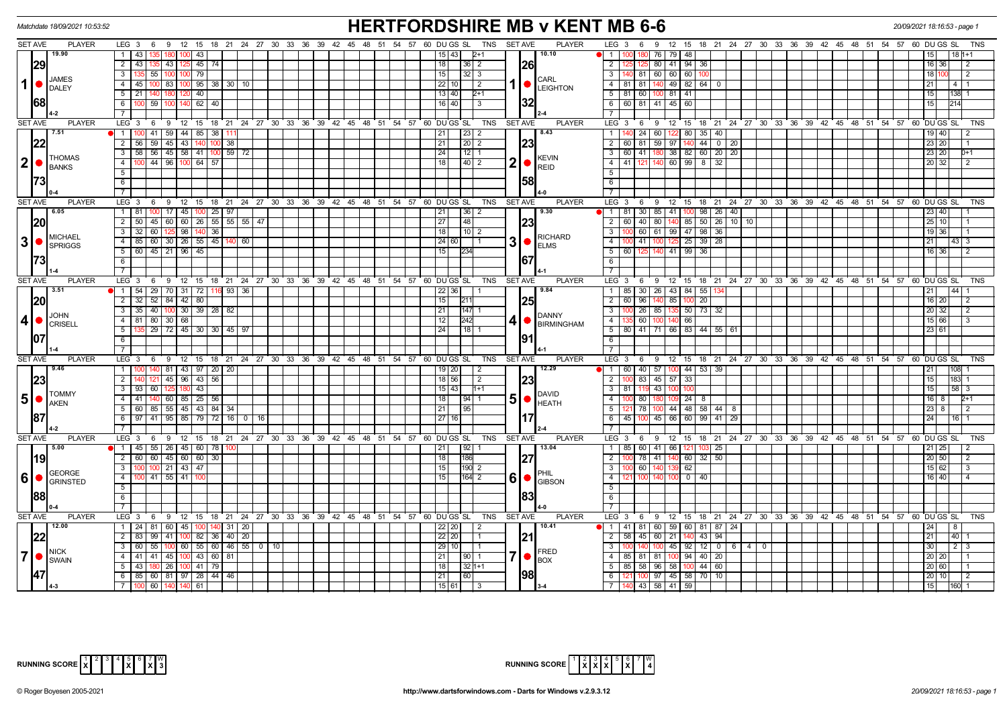| <b>HERTFORDSHIRE MB v KENT MB 6-6</b><br>Matchdate 18/09/2021 10:53:52<br>20/09/2021 18:16:53 - page 1 |                                             |                                                                                 |                                                                        |                                                                                                     |                                                                                                                 |                                      |  |  |  |  |  |  |  |
|--------------------------------------------------------------------------------------------------------|---------------------------------------------|---------------------------------------------------------------------------------|------------------------------------------------------------------------|-----------------------------------------------------------------------------------------------------|-----------------------------------------------------------------------------------------------------------------|--------------------------------------|--|--|--|--|--|--|--|
| <b>SET AVE</b>                                                                                         | <b>PLAYER</b>                               | LEG 3 6 9 12 15 18 21 24 27 30 33 36 39 42 45 48 51 54 57 60 DUGS SL TNS SETAVE |                                                                        | <b>PLAYER</b>                                                                                       | LEG <sub>3</sub><br>9 12 15 18 21 24 27 30 33 36 39 42 45 48 51 54 57 60 DUGS SL<br>6                           | TNS                                  |  |  |  |  |  |  |  |
|                                                                                                        | 19.90                                       | 1   43<br>43                                                                    | 15 43                                                                  | 10.10<br>$2+1$                                                                                      | 76 79<br>1 1 100<br>48                                                                                          |                                      |  |  |  |  |  |  |  |
|                                                                                                        | 29                                          | $2 \mid 43 \mid$<br>43   125<br>$45 \mid 74$<br>135 I                           | 18<br> 36 2                                                            | 26                                                                                                  | $\overline{2}$<br>80 41 94 36<br>125<br>-12                                                                     | 16 36<br>2                           |  |  |  |  |  |  |  |
|                                                                                                        |                                             | 79<br>3 I<br>55 100 1                                                           | 15<br>$ 32 $ 3                                                         |                                                                                                     | 3   140   81   60   60   60                                                                                     | 18 110<br>2                          |  |  |  |  |  |  |  |
| 1                                                                                                      | <b>JAMES</b><br><b>DALEY</b>                | $4 \mid 45$<br>$95 \mid 38 \mid 30 \mid 10$<br>83   100<br>100.                 | 22<br>10 I                                                             | <b>CARL</b><br>$\vert$ 2<br>1   ●∣<br>LEIGHTON                                                      | 4 81 81 140 49 82 64<br>$\mathbf 0$                                                                             | 4   1<br>21                          |  |  |  |  |  |  |  |
|                                                                                                        |                                             | $5 \mid 21 \mid$<br>40<br>140 18                                                | $13 40 $                                                               | $2+1$                                                                                               | 5 81 60 100 81 41                                                                                               | 138 1<br>15 <sub>1</sub>             |  |  |  |  |  |  |  |
| <b>68</b>                                                                                              |                                             | 62   40<br>6<br>59 100 140                                                      | 16 40                                                                  | 32 <br>$\overline{3}$                                                                               | 6 60 81 41 45 60                                                                                                | 1214<br>15 I                         |  |  |  |  |  |  |  |
|                                                                                                        |                                             | $\overline{7}$                                                                  |                                                                        |                                                                                                     | $\overline{7}$                                                                                                  |                                      |  |  |  |  |  |  |  |
| <b>SET AVE</b>                                                                                         | <b>PLAYER</b>                               | $LEG \ 3$                                                                       | 6 9 12 15 18 21 24 27 30 33 36 39 42 45 48 51 54 57 60 DUGSSL          | <b>TNS</b><br><b>SET AVE</b><br><b>PLAYER</b>                                                       | $LEG^3$ 3<br>6 9 12 15 18 21 24 27 30 33 36 39 42 45 48 51 54 57 60 DUGS SL                                     | TNS                                  |  |  |  |  |  |  |  |
|                                                                                                        | 7.51                                        | 1   100   41   59   44   85   38   111                                          | $\sqrt{23}$ 2<br>21                                                    | 8.43                                                                                                | 1 140 24 60 122 80 35 40                                                                                        | $19$ $\overline{40}$                 |  |  |  |  |  |  |  |
|                                                                                                        |                                             | $2 \mid 56 \mid$<br>$59$ 45 43<br>140<br>$\overline{38}$                        | 21<br>$\sqrt{20}$ 2                                                    | 23                                                                                                  | 60 81 59 97 140 44 0 20<br>$\overline{2}$                                                                       | 23 20                                |  |  |  |  |  |  |  |
|                                                                                                        |                                             | 56 45 58 41 100 59 72<br>$3 \mid 58$                                            | $\sqrt{24}$<br>$\vert 12 \vert 1$                                      |                                                                                                     | 3 60 41 180 38 82 60 20 20                                                                                      | 23 20<br>$D+1$                       |  |  |  |  |  |  |  |
|                                                                                                        | <b>THOMAS</b><br>$2$ $\bullet$ <b>BANKS</b> | 4   100   44   96   100   64   57                                               | 18 <br>$\vert 40 \vert 2$                                              | <b>KEVIN</b><br>$\mathbf{2}$<br>IO.                                                                 | 4 4 41 121 140 60 99 8 32                                                                                       | 20 32<br>l 2                         |  |  |  |  |  |  |  |
|                                                                                                        |                                             | 5                                                                               |                                                                        | REID                                                                                                | 5                                                                                                               |                                      |  |  |  |  |  |  |  |
|                                                                                                        |                                             | 6                                                                               |                                                                        | 58                                                                                                  | 6                                                                                                               |                                      |  |  |  |  |  |  |  |
|                                                                                                        |                                             | $\overline{7}$                                                                  |                                                                        |                                                                                                     | $\overline{7}$                                                                                                  |                                      |  |  |  |  |  |  |  |
| <b>SET AVE</b>                                                                                         | <b>PLAYER</b>                               | LEG 3<br>6                                                                      | 0 12 15 18 21 24 27 30 33 36 39 42 45 48 51 54 57 60 DUGS SL           | <b>TNS</b><br><b>SET AVE</b><br><b>PLAYER</b>                                                       | LEG 3<br>6 9 12 15 18 21 24 27 30 33 36 39 42 45 48 51 54 57 60 DUGS SL                                         | <b>TNS</b>                           |  |  |  |  |  |  |  |
|                                                                                                        | 6.05                                        | $1 \mid 81$<br>$100$ 17 45<br>$100$ 25 97                                       | 21<br> 36 2                                                            | 19.30                                                                                               | 30 85 41<br>$26 \mid 40$<br>$1 \quad 81$<br>100 98                                                              | 23 40                                |  |  |  |  |  |  |  |
| 20                                                                                                     |                                             | 45 60 60 26 55 56 56 47<br>$2 \mid 50 \mid$                                     | 27<br> 48                                                              | 23                                                                                                  | 40 80 140 85 50 26 10 10<br>$2 \mid 60$                                                                         | 25 10                                |  |  |  |  |  |  |  |
|                                                                                                        |                                             | $3 \mid 32 \mid$<br>$60$   125   98  <br>140 36                                 | 18 <br>$10\overline{2}$                                                |                                                                                                     | $\overline{3}$<br>60 61 99 47 98<br>36<br>100                                                                   | $19$ 36                              |  |  |  |  |  |  |  |
| 3 <sup>1</sup>                                                                                         | <b>MICHAEL</b>                              | $4$   85  <br>60 30 26 55 45 140 60                                             | 24 60                                                                  | RICHARD<br>$3$ $\bullet$ $\overline{\phantom{a}}$ $\overline{\phantom{a}}$ $\overline{\phantom{a}}$ | 41 100 125<br>25 39<br>28<br>$\overline{4}$                                                                     | 211<br>43 3                          |  |  |  |  |  |  |  |
|                                                                                                        | SPRIGGS                                     | 45 21 96 45<br>$5 \mid 60$                                                      | 15                                                                     |                                                                                                     | 5 <sup>5</sup><br>60<br>140 41 99 36<br>125                                                                     | 16 36                                |  |  |  |  |  |  |  |
|                                                                                                        |                                             | 6                                                                               |                                                                        | 67                                                                                                  | $6\overline{6}$                                                                                                 |                                      |  |  |  |  |  |  |  |
|                                                                                                        |                                             | $\overline{7}$                                                                  |                                                                        |                                                                                                     | $\overline{7}$                                                                                                  |                                      |  |  |  |  |  |  |  |
| <b>SET AVE</b>                                                                                         | <b>PLAYER</b>                               | LEG <sub>3</sub>                                                                | 6 9 12 15 18 21 24 27 30 33 36 39 42 45 48 51 54 57 60 DUGS SL         | TNS<br><b>SET AVE</b><br><b>PLAYER</b>                                                              | LEG <sub>3</sub><br>6 9 12 15 18 21 24 27 30 33 36 39 42 45 48 51 54 57 60 DUGS SL                              | <b>TNS</b>                           |  |  |  |  |  |  |  |
|                                                                                                        | 3.51                                        | 1   54   29   70   31   72   116   93   36                                      | $22$ 36                                                                | 19.84                                                                                               | $1 \mid 85 \mid$<br>30 26 43<br>84 55                                                                           | 44 <br>21                            |  |  |  |  |  |  |  |
| 20                                                                                                     |                                             | $2 \mid 32 \mid$<br>52 84 42 80                                                 | 15<br>211                                                              | 25                                                                                                  | $\overline{2}$<br>96 140 85<br>60<br>$100 -$<br>20                                                              | $16$   20                            |  |  |  |  |  |  |  |
|                                                                                                        |                                             | 40   100   30   39   28   82<br>$3 \mid 35 \mid$                                | 21<br>147 1                                                            |                                                                                                     | $\mathbf{3}$<br>26 85<br>50 73<br>32<br>100<br>135                                                              | 20 32<br>$\overline{2}$              |  |  |  |  |  |  |  |
| $\vert$                                                                                                | JOHN                                        | 4 81<br>80 30 68                                                                | 242<br>12                                                              | <b>I</b> DANNY                                                                                      | 60 100<br>140 66<br>4   135                                                                                     | 15 66 <br>$\mathcal{A}$              |  |  |  |  |  |  |  |
|                                                                                                        | <b>CRISELL</b>                              | 5  <br>  29   72   45   30   30   45   97                                       | 24<br> 18 1                                                            | BIRMINGHAM                                                                                          | 5   80   41   71   66   83   44   55   61                                                                       | 23 61                                |  |  |  |  |  |  |  |
| 107                                                                                                    |                                             | 6 <sup>1</sup>                                                                  |                                                                        | 91                                                                                                  | 6                                                                                                               |                                      |  |  |  |  |  |  |  |
|                                                                                                        |                                             | $7\overline{ }$                                                                 |                                                                        |                                                                                                     | $\overline{7}$                                                                                                  |                                      |  |  |  |  |  |  |  |
| <b>SET AVE</b>                                                                                         | <b>PLAYER</b>                               | $LEG \ 3$<br>- 6                                                                | 9 12 15 18 21 24 27 30 33 36 39 42 45 48 51 54 57 60 DUGS SL           | <b>PLAYER</b><br><b>TNS</b><br><b>SET AVE</b>                                                       | $LEG_3$<br>6 9 12 15 18 21 24 27 30 33 36 39 42 45 48 51 54 57 60 DUGSSL                                        | <b>TNS</b>                           |  |  |  |  |  |  |  |
|                                                                                                        | 9.46                                        | 140 81 43 97 20 20<br>1 100                                                     | $19$   20                                                              | 12.29<br>$\overline{2}$                                                                             | 1 60 40 57 100 44 53 39                                                                                         | 21  <br> 108                         |  |  |  |  |  |  |  |
|                                                                                                        | 23                                          | $43 \mid 56$<br>2 <sup>1</sup><br>$45 \mid 96 \mid$                             | 18 56                                                                  | $\overline{2}$<br> 23                                                                               | $\overline{2}$<br>83 45 57<br>33<br>10 <sup>c</sup>                                                             | 15<br>183                            |  |  |  |  |  |  |  |
|                                                                                                        |                                             | 43 <br>$3 \mid 93$<br>60                                                        | $15 \mid 43 \mid$                                                      | $1+1$                                                                                               | 3 81 119 43<br>100<br>-100                                                                                      | 58 3<br>15                           |  |  |  |  |  |  |  |
| $5\bullet$                                                                                             | <b>TOMMY</b>                                | 4 41 40 60 85 25 56                                                             | 18<br> 94 1                                                            | DAVID<br>$5$ $\bullet$ $\overline{H}$ $\overline{H}$                                                | $\overline{4}$<br>100 80 180 109 24 8                                                                           | $2+1$<br>16   8                      |  |  |  |  |  |  |  |
|                                                                                                        | <b>AKEN</b>                                 | 5 60 85 55 45 43 84 34                                                          | 21<br>95                                                               |                                                                                                     | 5 121 78 100 44 48 58 44 8                                                                                      | 23 8 1<br>$\frac{12}{2}$             |  |  |  |  |  |  |  |
|                                                                                                        |                                             | $6 \mid 97$<br>41   95   85   79   72   16   0  <br>16                          | 27<br>16 <sup>1</sup>                                                  | 17                                                                                                  | 6 45 100 45 66 60 99<br>41<br>29                                                                                | $\overline{24}$<br>16 I 1            |  |  |  |  |  |  |  |
|                                                                                                        |                                             | $\overline{7}$                                                                  |                                                                        |                                                                                                     | $\overline{7}$                                                                                                  |                                      |  |  |  |  |  |  |  |
| <b>SET AVE</b>                                                                                         | <b>PLAYER</b>                               | LEG 3 6 9 12 15 18 21 24 27 30 33 36 39 42 45 48 51 54 57 60 DUGS SL TNS        |                                                                        | <b>SET AVE</b><br><b>PLAYER</b>                                                                     | LEG 3 6 9 12 15 18 21 24 27 30 33 36 39 42 45 48 51 54 57 60 DUGS SL                                            | <b>TNS</b>                           |  |  |  |  |  |  |  |
|                                                                                                        | 5.00                                        | 1 45 55 26 45 60 78 100                                                         | $\begin{array}{ c c c c c } \hline 92 & 1 \\ \hline \end{array}$<br>21 | 13.04                                                                                               | 1 85 60 41 66<br>121 103 25                                                                                     | 21 25<br>$\sqrt{2}$                  |  |  |  |  |  |  |  |
|                                                                                                        | 19                                          | $2$ 60 60 45 60 60 30                                                           | l 18 l<br>186                                                          | 27                                                                                                  | 78 41 140 60 32 50<br>2<br>100                                                                                  | 20   50  <br>$\sqrt{2}$              |  |  |  |  |  |  |  |
|                                                                                                        |                                             | $3$   100   100   21   43   47                                                  | 15                                                                     |                                                                                                     | 3<br>60 140 139<br>62<br>100                                                                                    | 15 62<br>3                           |  |  |  |  |  |  |  |
|                                                                                                        | <b>GEORGE</b>                               | 4<br>00   41   55   41                                                          | 15<br>1164 2                                                           | 61<br>$\bigcirc$ GIBSON                                                                             | $\overline{4}$<br>100 140<br>$0 \mid 40$<br>100                                                                 | $16$ 40                              |  |  |  |  |  |  |  |
|                                                                                                        |                                             | 5                                                                               |                                                                        |                                                                                                     | $5^{\circ}$                                                                                                     |                                      |  |  |  |  |  |  |  |
| 1881                                                                                                   |                                             | 6                                                                               |                                                                        | 83                                                                                                  | 6                                                                                                               |                                      |  |  |  |  |  |  |  |
|                                                                                                        |                                             | $\overline{7}$                                                                  |                                                                        |                                                                                                     | $\overline{7}$                                                                                                  |                                      |  |  |  |  |  |  |  |
| <b>SET AVE</b>                                                                                         | <b>PLAYER</b>                               | LEG 3 6 9 12 15 18 21 24 27 30 33 36 39 42 45 48 51 54 57 60 DUGS SL            |                                                                        | <b>PLAYER</b><br>TNS<br><b>SET AVE</b>                                                              | LEG 3 6 9 12 15 18 21 24 27 30 33 36 39 42 45 48 51 54 57 60 DUGS SL                                            | <b>TNS</b>                           |  |  |  |  |  |  |  |
|                                                                                                        | 12.00                                       | $1 \mid 24 \mid$<br>81 60 45<br>100   140   31   20                             | 22   20                                                                | 10.41<br>$\sqrt{2}$                                                                                 | 1 41 81 60 59 60 81 87<br>24                                                                                    | $\sqrt{8}$<br> 24                    |  |  |  |  |  |  |  |
|                                                                                                        |                                             | $2 \mid 83$<br>99 41 100<br>82 36 40 20                                         | 22   20                                                                | 21                                                                                                  | $\overline{2}$<br>58 45 60 21<br>$140$ 43<br>94                                                                 | 40 <br>21                            |  |  |  |  |  |  |  |
|                                                                                                        |                                             | $55 \mid 60 \mid 46 \mid 55 \mid$<br>$3 \mid 60$<br>55<br>100 60<br>$0$ 10      | 29<br>10 I                                                             | $\vert$ 1                                                                                           | $\overline{3}$<br>100 <sub>1</sub><br>45<br>92<br>12<br>$\overline{0}$<br>$\overline{4}$<br>$\overline{0}$<br>6 | 30<br>$\overline{2}$<br>$\mathbf{3}$ |  |  |  |  |  |  |  |
| $\overline{7}$                                                                                         | <b>NICK</b>                                 | $4 \mid 41 \mid$<br>41 45 100<br>43 60 81                                       | 21<br> 90 1                                                            | $\bigcup_{n \in \mathbb{N}}$ FRED                                                                   | 4 85 81 81 100<br>$94$ 40<br>20                                                                                 | 20   20                              |  |  |  |  |  |  |  |
|                                                                                                        | SWAIN                                       | $5 \mid 43$<br>26 100 41 79<br>180                                              | $32 1+1$<br>18                                                         | <b>BOX</b>                                                                                          | 85 58 96 58<br>5 <sup>5</sup><br>$100 \ 44 \ 60$                                                                | 20 60                                |  |  |  |  |  |  |  |
|                                                                                                        |                                             | 6 85 60 81 97 28 44 46                                                          | 21  <br>60                                                             | 198                                                                                                 | 121 100 97 45 58 70<br>10 <sup>1</sup><br>6                                                                     | 20101<br>l 2                         |  |  |  |  |  |  |  |
|                                                                                                        |                                             | 7   100   60   140   140   61                                                   | 15 61                                                                  | $\vert$ 3                                                                                           | 7 140 43 58 41 59                                                                                               | l 15 I<br><b>1160 1</b>              |  |  |  |  |  |  |  |



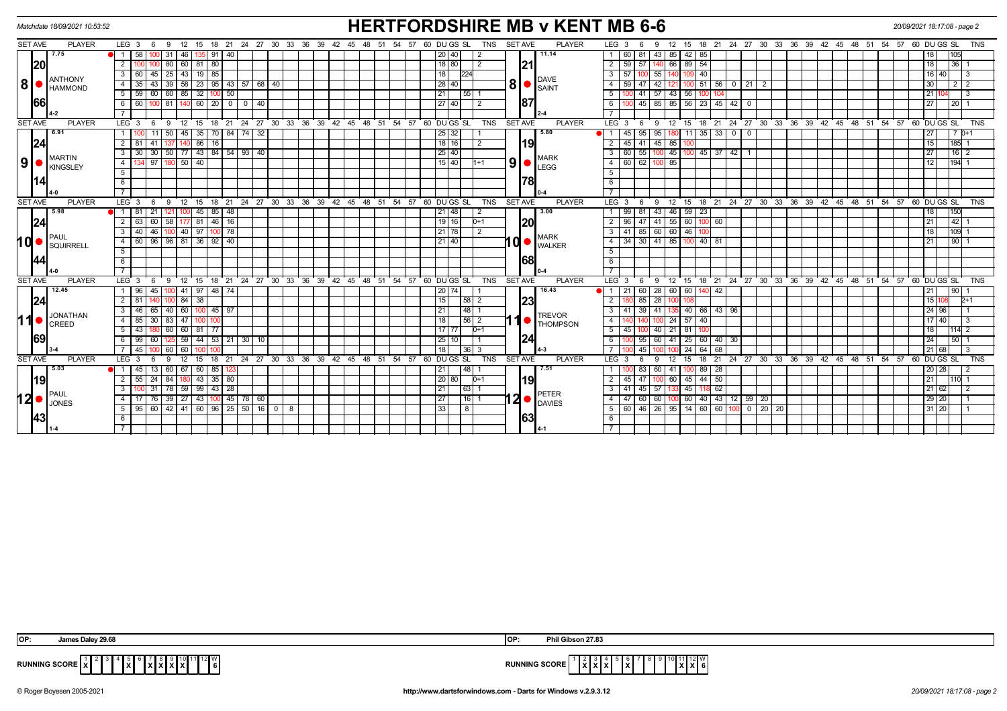|                |           | Matchdate 18/09/2021 10:53:52    |                                |                  |              |                   |               |                   |                    |               |    |                                                                                                                           |         |  |    |    |    |  |                                 |                 |             |                |            |                |                  |                         | <b>HERTFORDSHIRE MB v KENT MB 6-6</b> |                  |                      |                 |                             |        |                              |        |           |                |                                                         |  |  |       |                    | 20/09/2021 18:17:08 - page 2 |                 |           |            |  |
|----------------|-----------|----------------------------------|--------------------------------|------------------|--------------|-------------------|---------------|-------------------|--------------------|---------------|----|---------------------------------------------------------------------------------------------------------------------------|---------|--|----|----|----|--|---------------------------------|-----------------|-------------|----------------|------------|----------------|------------------|-------------------------|---------------------------------------|------------------|----------------------|-----------------|-----------------------------|--------|------------------------------|--------|-----------|----------------|---------------------------------------------------------|--|--|-------|--------------------|------------------------------|-----------------|-----------|------------|--|
| <b>SET AVE</b> |           | <b>PLAYER</b>                    |                                | LEG <sub>3</sub> | - 6          | 9                 | 12            | 15                |                    |               |    | 18 21 24 27 30 33 36 39                                                                                                   |         |  | 42 | 45 | 48 |  | 51 54 57                        |                 | 60 DU GS SL |                | <b>TNS</b> | <b>SET AVE</b> |                  |                         | <b>PLAYER</b>                         | LEG <sub>3</sub> |                      | -6              | 12 <sup>°</sup><br><b>g</b> |        |                              |        |           |                | 15 18 21 24 27 30 33 36 39 42 45                        |  |  | 48 51 | 54 57              | 60 DU GS SL                  |                 |           | <b>TNS</b> |  |
|                |           | 7.75                             | $\blacksquare$                 | 58               |              | 00 31             | 46            |                   | 91                 | 40            |    |                                                                                                                           |         |  |    |    |    |  |                                 | 20 40           |             | l 2            |            |                |                  | 11.14                   |                                       |                  | 60                   | 81              | 43<br>85                    | 42 I   | 85                           |        |           |                |                                                         |  |  |       |                    | 18                           |                 | 105I      |            |  |
|                | 20        |                                  | 2                              |                  |              | 80                |               |                   | 60 81 80           |               |    |                                                                                                                           |         |  |    |    |    |  |                                 |                 | 18 80       | $\overline{2}$ |            |                | 21               |                         |                                       |                  | $2 \overline{59}$    | 57 1            | 140 66                      |        | 89 54                        |        |           |                |                                                         |  |  |       |                    |                              | 18 <sup>1</sup> | 36 1      |            |  |
|                |           | <b>ANTHONY</b>                   | $\overline{3}$                 | 60               | 45           | 25                | 43            |                   | $19$ 85            |               |    |                                                                                                                           |         |  |    |    |    |  |                                 | 18              |             | 224            |            |                |                  |                         |                                       | $\overline{3}$   | 57                   |                 | 55                          |        | 40                           |        |           |                |                                                         |  |  |       |                    |                              | 16 40           |           |            |  |
| 8              |           | <b>HAMMOND</b>                   | $\overline{4}$                 | 35               |              | 39                |               |                   |                    |               |    | $\overline{58}$ 23 95 43 57 68 40                                                                                         |         |  |    |    |    |  |                                 | 28   40         |             |                |            | 81             |                  | DAVE<br>$\bullet$ SAINT |                                       | $\overline{4}$   | 59                   | 47 I            | 42<br>121                   |        | 100 51 56                    |        | $0$   21  |                | $\overline{2}$                                          |  |  |       |                    |                              | 30 I            |           |            |  |
|                |           |                                  | 5                              | 59               | -60 I        | 60                |               | $85 \mid 32 \mid$ | 100                |               | 50 |                                                                                                                           |         |  |    |    |    |  | 21                              |                 | $55$   1    |                |            |                |                  |                         | 5                                     |                  | 41 57                | 43              | 56                          | 100    |                              |        |           |                |                                                         |  |  |       |                    | 21 I1                        |                 |           |            |  |
|                | 66        |                                  | 6                              |                  | 60 100 81    |                   | 140           |                   |                    |               |    |                                                                                                                           |         |  |    |    |    |  |                                 |                 | 27 40       | $\overline{2}$ |            |                | 187              |                         |                                       | 6                |                      |                 | 45 85 85 56 23 45 42 0      |        |                              |        |           |                |                                                         |  |  |       |                    | 27                           |                 | l 20 I 1  |            |  |
|                |           |                                  |                                |                  |              |                   |               |                   |                    |               |    |                                                                                                                           |         |  |    |    |    |  |                                 |                 |             |                |            |                |                  |                         |                                       |                  |                      |                 |                             |        |                              |        |           |                |                                                         |  |  |       |                    |                              |                 |           |            |  |
| <b>SET AVE</b> |           | <b>PLAYER</b>                    |                                | $LEG$ 3          |              | 9                 | 12            | 15                | 18                 | $^{\circ}$ 21 |    | 24 27 30 33 36 39 42 45 48 51 54 57 60 DUGS SL                                                                            |         |  |    |    |    |  |                                 |                 |             |                | <b>TNS</b> | <b>SET AVE</b> |                  |                         | <b>PLAYER</b>                         | LEG <sub>3</sub> |                      | - 6             | 9                           |        |                              |        |           |                | 12 15 18 21 24 27 30 33 36 39 42 45 48 51               |  |  |       | $54$ 57 60 DUGS SL |                              |                 |           | <b>TNS</b> |  |
|                |           | 6.91                             |                                |                  |              | 50                | 45 I          | 35                | 70 I               |               |    | 84 74 32                                                                                                                  |         |  |    |    |    |  |                                 | $\sqrt{25}$ 32  |             |                |            |                |                  | 5.80                    |                                       |                  | 45                   | 95              | 95                          | - 11 I | 35                           | 33     | $\circ$ 1 | $\Omega$       |                                                         |  |  |       |                    |                              |                 | 70+1      |            |  |
|                | 24        |                                  | $\overline{2}$                 | -81              | 41           |                   | 140           | 86                | 16                 |               |    |                                                                                                                           |         |  |    |    |    |  |                                 | 18 16           |             | l 2            |            |                | 19               |                         |                                       | $\overline{2}$   | 45                   | 41              | $45$ 85                     |        |                              |        |           |                |                                                         |  |  |       |                    | 15                           |                 | $185 - 1$ |            |  |
|                |           | <b>MARTIN</b>                    | $\overline{\cdot \cdot \cdot}$ |                  |              |                   |               |                   |                    |               |    | $30$ $30$ $\overline{50}$ $\overline{77}$ $\overline{43}$ $\overline{84}$ $\overline{54}$ $\overline{93}$ $\overline{40}$ |         |  |    |    |    |  |                                 | $\boxed{25}$ 40 |             |                |            |                |                  |                         |                                       |                  | $\overline{3}$<br>60 |                 | 55 100 45 100 45 37 42 1    |        |                              |        |           |                |                                                         |  |  |       |                    | 27                           |                 | $16$   2  |            |  |
| 9 <sup>1</sup> |           | <b>KINGSLEY</b>                  | $-4$                           |                  | 97           |                   |               | $50 \mid 40$      |                    |               |    |                                                                                                                           |         |  |    |    |    |  |                                 |                 | 15 40       | $1 + 1$        |            | 9              |                  | LEGG                    | <b>MARK</b>                           |                  | $4 \overline{60}$    |                 | 62 100 85                   |        |                              |        |           |                |                                                         |  |  |       |                    | 12                           |                 | $194 - 1$ |            |  |
|                |           |                                  | $-5$                           |                  |              |                   |               |                   |                    |               |    |                                                                                                                           |         |  |    |    |    |  |                                 |                 |             |                |            |                |                  |                         |                                       | $\overline{5}$   |                      |                 |                             |        |                              |        |           |                |                                                         |  |  |       |                    |                              |                 |           |            |  |
|                | 14        |                                  | 6                              |                  |              |                   |               |                   |                    |               |    |                                                                                                                           |         |  |    |    |    |  |                                 |                 |             |                |            |                | 78               |                         |                                       | 6                |                      |                 |                             |        |                              |        |           |                |                                                         |  |  |       |                    |                              |                 |           |            |  |
|                |           |                                  |                                |                  |              |                   |               |                   |                    |               |    |                                                                                                                           |         |  |    |    |    |  |                                 |                 |             |                |            |                |                  |                         |                                       | $\overline{7}$   |                      |                 |                             |        |                              |        |           |                |                                                         |  |  |       |                    |                              |                 |           |            |  |
| <b>SET AVE</b> |           | <b>PLAYER</b>                    |                                | $LEG$ 3          | - 6          | - 9               |               |                   |                    |               |    | $12$ 15 18 21 24 27 30 33 36                                                                                              |         |  |    |    |    |  | 39 42 45 48 51 54 57 60 DUGS SL |                 |             |                | <b>TNS</b> | <b>SET AVE</b> |                  |                         | <b>PLAYER</b>                         | LEG <sub>3</sub> |                      | - 6             | ີ 12<br>9                   |        |                              |        |           |                | 15 18 21 24 27 30 33 36 39 42 45 48 51 54 57 60 DUGS SL |  |  |       |                    |                              |                 |           | <b>TNS</b> |  |
|                |           | 5.98<br><b>PAUL</b><br>SQUIRRELL | $\blacksquare$                 | 81               | 21           |                   |               |                   | 45<br>85           | 48            |    |                                                                                                                           |         |  |    |    |    |  |                                 | 21 48           |             | $\overline{2}$ |            |                | 20<br>10 ●<br>68 |                         | 13.00<br><b>MARK</b><br><b>WALKER</b> |                  | 99                   | 81              | 43<br>46                    |        | 59 23                        |        |           |                |                                                         |  |  |       |                    |                              |                 | 150       |            |  |
|                | 24        |                                  |                                | 63               | 60           | 58                |               | 177 81            | $\sqrt{46}$        | 16            |    |                                                                                                                           |         |  |    |    |    |  |                                 | 19 16           |             | $D+1$          |            |                |                  |                         |                                       | $\overline{2}$   | 96                   | 47              | 55<br>41                    |        | 60 100 60                    |        |           |                |                                                         |  |  |       |                    | 21                           |                 | 142       |            |  |
|                |           |                                  | $\overline{\mathbf{3}}$        |                  | $40 \mid 46$ |                   |               |                   | 100 40 97 100 78   |               |    |                                                                                                                           |         |  |    |    |    |  |                                 | 21 78           |             | $\overline{2}$ |            |                |                  |                         |                                       |                  | $3 \mid 41$          |                 | 85 60 60 46 100             |        |                              |        |           |                |                                                         |  |  |       |                    | 18                           |                 | 109 1     |            |  |
| O              |           |                                  | $\overline{4}$                 | 60               |              |                   |               |                   | 96 96 81 36 92 40  |               |    |                                                                                                                           |         |  |    |    |    |  |                                 | $21$ 40         |             |                |            |                |                  |                         |                                       | $\overline{4}$   | 34                   |                 | 30 41 85                    |        | $100$ 40 81                  |        |           |                |                                                         |  |  |       |                    | 21                           |                 | 9011      |            |  |
|                |           |                                  | 5                              |                  |              |                   |               |                   |                    |               |    |                                                                                                                           |         |  |    |    |    |  |                                 |                 |             |                |            |                |                  |                         |                                       | 5                |                      |                 |                             |        |                              |        |           |                |                                                         |  |  |       |                    |                              |                 |           |            |  |
|                | 44        |                                  | 6                              |                  |              |                   |               |                   |                    |               |    |                                                                                                                           |         |  |    |    |    |  |                                 |                 |             |                |            |                |                  |                         |                                       | $6\overline{6}$  |                      |                 |                             |        |                              |        |           |                |                                                         |  |  |       |                    |                              |                 |           |            |  |
|                |           |                                  |                                |                  |              |                   |               |                   |                    |               |    |                                                                                                                           |         |  |    |    |    |  |                                 |                 |             |                |            |                |                  |                         |                                       | $\overline{7}$   |                      |                 |                             |        |                              |        |           |                |                                                         |  |  |       |                    |                              |                 |           |            |  |
| <b>SET AVE</b> |           | <b>PLAYER</b>                    |                                | LEG <sub>3</sub> | - 6          | - 9               | 12            | 15                |                    |               |    | 18 21 24 27 30 33 36 39                                                                                                   |         |  |    |    |    |  | 42 45 48 51 54 57 60 DUGS SL    |                 |             |                | <b>TNS</b> | <b>SET AVE</b> |                  |                         | <b>PLAYER</b>                         | LEG <sub>3</sub> |                      | - 6             | - 9                         |        |                              |        |           |                | 12 15 18 21 24 27 30 33 36 39 42 45 48 51 54 57         |  |  |       |                    | 60 DU GS SL                  |                 |           | <b>TNS</b> |  |
|                |           | 12.45                            | $\overline{1}$                 | 96               | 45           |                   |               |                   | 41 97 48           | 74            |    |                                                                                                                           |         |  |    |    |    |  |                                 | 20              | 74          |                |            |                |                  | 16.43                   |                                       | $\overline{1}$   | 21                   | 60 I            | 28<br>60                    | 60     |                              | 140 42 |           |                |                                                         |  |  |       |                    | 21                           |                 | 90        |            |  |
|                | 24        |                                  | $\overline{2}$                 | 81               | 140 I        |                   | $100$ 84 $38$ |                   |                    |               |    |                                                                                                                           |         |  |    |    |    |  |                                 | 15              |             | 58 2           |            |                | 23               |                         |                                       | 2                |                      | 85 28           | 10 <sup>c</sup>             |        |                              |        |           |                |                                                         |  |  |       |                    |                              | 15 108          |           | $2+1$      |  |
|                |           | <b>JONATHAN</b>                  | $\overline{\mathbf{3}}$        |                  | 46 65        | 40                |               |                   | 60   100   45   97 |               |    |                                                                                                                           |         |  |    |    |    |  |                                 | 21              |             | $48$   1       |            |                |                  |                         | <b>TREVOR</b>                         |                  | $3 \mid 41$          | 39 <sup>1</sup> | 41                          |        | 40 66 43 96                  |        |           |                |                                                         |  |  |       |                    |                              | 24 96           |           |            |  |
| $\blacksquare$ |           | CREED                            | $\overline{4}$                 |                  | 85   30   83 |                   |               | 47 100            | 100                |               |    |                                                                                                                           |         |  |    |    |    |  |                                 | 18              |             | 56 2           |            | 11             |                  |                         | <b>THOMPSON</b>                       | $\overline{4}$   |                      |                 | 100 24                      |        | 57 40                        |        |           |                |                                                         |  |  |       |                    |                              | 17 40           |           |            |  |
|                |           |                                  | 5                              | 43               |              | 60                |               | 60   81           | -77                |               |    |                                                                                                                           |         |  |    |    |    |  |                                 | 17 77           |             | $D+1$          |            |                |                  |                         |                                       |                  | $5 \mid 45$          |                 | 40<br>$\sqrt{21}$           | 81     | 100                          |        |           |                |                                                         |  |  |       |                    |                              | 18 <sup>1</sup> | 114 2     |            |  |
|                | 69        |                                  | 6                              |                  | 99   60      |                   |               |                   |                    |               |    | 59 44 53 21 30 10                                                                                                         |         |  |    |    |    |  |                                 | 25              | 10 I        |                |            |                | 24               |                         |                                       | 6                |                      |                 | 95   60   41                |        | $25 \mid 60 \mid 40 \mid 30$ |        |           |                |                                                         |  |  |       |                    | 241                          |                 | 50 1      |            |  |
|                |           |                                  |                                | 45               |              | 60                | 60            |                   |                    |               |    |                                                                                                                           |         |  |    |    |    |  |                                 | 18              |             | $36$ 3         |            |                |                  |                         |                                       | $\overline{7}$   |                      | 45 <sup>1</sup> |                             | 24     | 64                           | 68     |           |                |                                                         |  |  |       |                    |                              | 21168           |           |            |  |
| <b>SET AVE</b> |           | <b>PLAYER</b>                    |                                | LEG <sub>3</sub> |              | ۰Q                | 12            | 15                |                    |               |    | 18 21 24 27 30 33 36 39 42 45 48 51                                                                                       |         |  |    |    |    |  | 54 57                           |                 | 60 DUGS SL  |                | <b>TNS</b> | <b>SET AVE</b> |                  |                         | <b>PLAYER</b>                         | LEG <sub>3</sub> |                      | 6               | 12<br>-9                    | 15     | 18                           |        |           |                | 21 24 27 30 33 36 39 42 45 48 51 54 57                  |  |  |       |                    | 60 DUGS SL                   |                 |           | <b>TNS</b> |  |
|                |           | 5.03                             | 11                             | 45               |              | 60                | 67            | 60 I              | 85                 |               |    |                                                                                                                           |         |  |    |    |    |  |                                 | 21              |             | 48             |            |                |                  | 7.51                    |                                       |                  |                      |                 | 60<br>41                    |        | 89                           | 28     |           |                |                                                         |  |  |       |                    |                              | 20128           |           |            |  |
|                | 19        |                                  | $\overline{2}$                 |                  | 55   24      | 84                |               |                   | $180$ 43 35 80     |               |    |                                                                                                                           |         |  |    |    |    |  |                                 | 20 80           |             | $D+1$          |            |                | 19<br>11 2 I     |                         |                                       | $\overline{2}$   | 45                   | 47 I            | 100 60                      |        | $45 \mid 44 \mid 50$         |        |           |                |                                                         |  |  |       |                    |                              | 21              | l110 11   |            |  |
|                |           | <b>PAUL</b>                      |                                |                  | 31           | 78                | 59            | 99                | 43                 | 28            |    |                                                                                                                           |         |  |    |    |    |  |                                 | 21              |             | $63$   1       |            |                |                  | PETER                   |                                       | 3                | 41                   | 45              | 57                          | 45     |                              | 118 62 |           |                |                                                         |  |  |       |                    |                              | 21 62           |           |            |  |
| I2 ●           |           | <b>JONES</b>                     | $\overline{4}$                 |                  | 76           | 39                |               |                   |                    |               |    | 27   43   100   45   78   60                                                                                              |         |  |    |    |    |  |                                 | 27              |             | $16$   1       |            |                |                  | DAVIES                  |                                       | 4                | 47                   |                 | 60 60 100 60 40 43 12 59 20 |        |                              |        |           |                |                                                         |  |  |       |                    |                              | 29 20           |           |            |  |
|                |           |                                  | 5                              | 95               |              | $60 \mid 42 \mid$ |               |                   |                    |               |    | $141$ 60 96 25 50 16                                                                                                      | $0$   8 |  |    |    |    |  |                                 | 33              |             | 8              |            |                |                  |                         |                                       |                  | $5 \mid 60$          |                 | 46 26 95                    | 14     |                              | 60 60  |           | 0 <sup>1</sup> | $\overline{20}$<br>20                                   |  |  |       |                    |                              | 31 20           |           |            |  |
|                | <b>43</b> |                                  | - 6                            |                  |              |                   |               |                   |                    |               |    |                                                                                                                           |         |  |    |    |    |  |                                 |                 |             |                |            |                | 63               |                         |                                       | 6                |                      |                 |                             |        |                              |        |           |                |                                                         |  |  |       |                    |                              |                 |           |            |  |
|                |           |                                  |                                |                  |              |                   |               |                   |                    |               |    |                                                                                                                           |         |  |    |    |    |  |                                 |                 |             |                |            |                |                  |                         |                                       |                  |                      |                 |                             |        |                              |        |           |                |                                                         |  |  |       |                    |                              |                 |           |            |  |

| <b>OP</b>         | James Daley 29.68                                         | <b>OF</b>            | Phil Gibson 27.83                                                                                                                                      |
|-------------------|-----------------------------------------------------------|----------------------|--------------------------------------------------------------------------------------------------------------------------------------------------------|
| RUNNING SCORE   X | `1∥12∥W,<br>.<br>.<br>$\mathbf{X}$<br>1^1^1 <i>^</i><br>. | <b>RUNNING SCORE</b> | $\begin{array}{ c c c c c }\n\hline\n9 & 10 & 11 & 12 & W \\ \hline\nX & X & 6 & \\\hline\n\end{array}$<br>$\degree$   $\degree$   $\degree$<br> X X X |